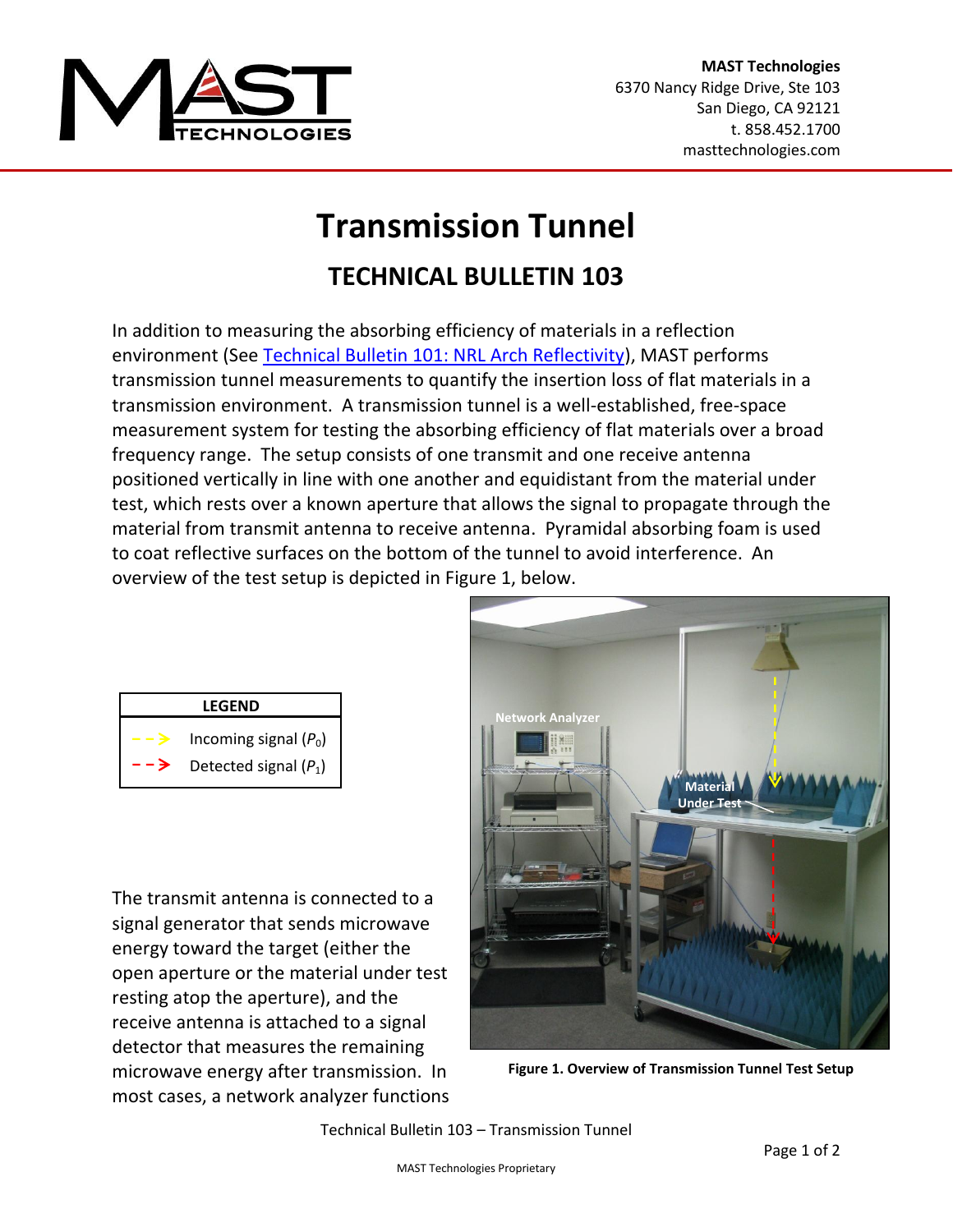

## **Transmission Tunnel**

## **TECHNICAL BULLETIN 103**

In addition to measuring the absorbing efficiency of materials in a reflection environment (See [Technical Bulletin 101: NRL Arch Reflectivity\)](http://www.masttechnologies.com/wp-content/uploads/2012/01/Tech-Bulletin-101-NRL-Arch-Reflectivity.pdf), MAST performs transmission tunnel measurements to quantify the insertion loss of flat materials in a transmission environment. A transmission tunnel is a well-established, free-space measurement system for testing the absorbing efficiency of flat materials over a broad frequency range. The setup consists of one transmit and one receive antenna positioned vertically in line with one another and equidistant from the material under test, which rests over a known aperture that allows the signal to propagate through the material from transmit antenna to receive antenna. Pyramidal absorbing foam is used to coat reflective surfaces on the bottom of the tunnel to avoid interference. An overview of the test setup is depicted in Figure 1, below.

| <b>LEGEND</b> |                                                    |  |  |  |  |  |  |  |  |
|---------------|----------------------------------------------------|--|--|--|--|--|--|--|--|
|               | Incoming signal $(P_0)$<br>Detected signal $(P_1)$ |  |  |  |  |  |  |  |  |

The transmit antenna is connected to a signal generator that sends microwave energy toward the target (either the open aperture or the material under test resting atop the aperture), and the receive antenna is attached to a signal detector that measures the remaining microwave energy after transmission. In most cases, a network analyzer functions



**Figure 1. Overview of Transmission Tunnel Test Setup**

Technical Bulletin 103 – Transmission Tunnel